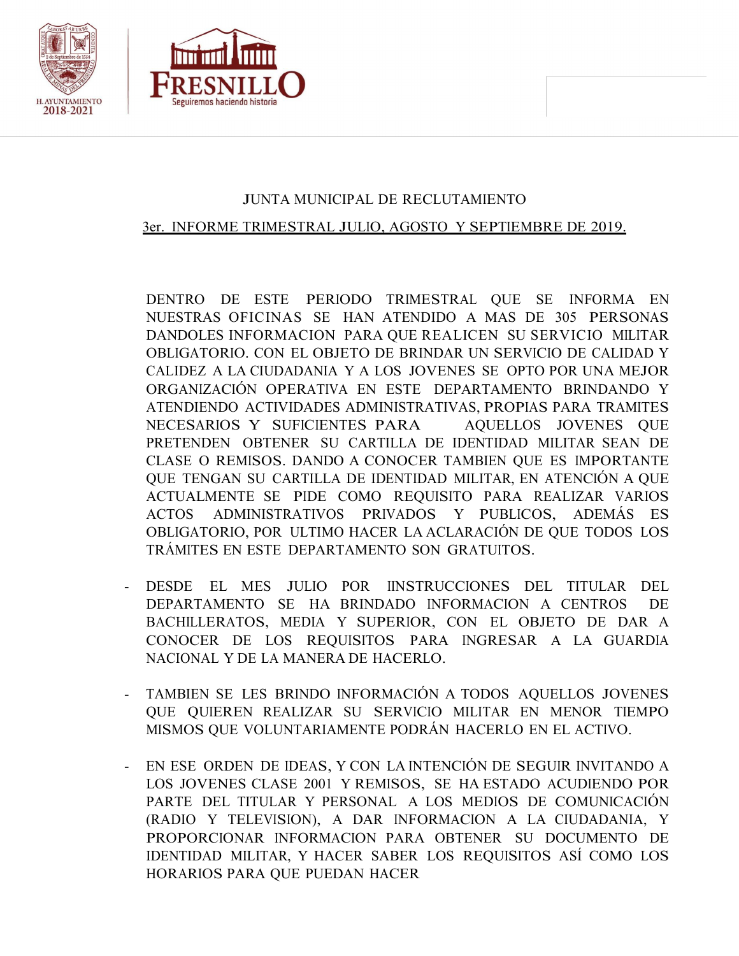



## JUNTA MUNICIPAL DE RECLUTAMIENTO

## 3er. INFORME TRIMESTRAL JULIO, AGOSTO Y SEPTIEMBRE DE 2019.

DENTRO DE ESTE PERIODO TRIMESTRAL QUE SE INFORMA EN NUESTRAS OFICINAS SE HAN ATENDIDO A MAS DE 305 PERSONAS DANDOLES INFORMACION PARA QUE REALICEN SU SERVICIO MILITAR OBLIGATORIO. CON EL OBJETO DE BRINDAR UN SERVICIO DE CALIDAD Y CALIDEZ A LA CIUDADANIA Y A LOS JOVENES SE OPTO POR UNA MEJOR ORGANIZACIÓN OPERATIVA EN ESTE DEPARTAMENTO BRINDANDO Y ATENDIENDO ACTIVIDADES ADMINISTRATIVAS, PROPIAS PARA TRAMITES NECESARIOS Y SUFICIENTES PARA AQUELLOS JOVENES QUE PRETENDEN OBTENER SU CARTILLA DE IDENTIDAD MILITAR SEAN DE CLASE O REMISOS. DANDO A CONOCER TAMBIEN QUE ES IMPORTANTE QUE TENGAN SU CARTILLA DE IDENTIDAD MILITAR, EN ATENCIÓN A QUE ACTUALMENTE SE PIDE COMO REQUISITO PARA REALIZAR VARIOS ACTOS ADMINISTRATIVOS PRIVADOS Y PUBLICOS, ADEMÁS ES OBLIGATORIO, POR ULTIMO HACER LA ACLARACIÓN DE QUE TODOS LOS TRÁMITES EN ESTE DEPARTAMENTO SON GRATUITOS.

- DESDE EL MES JULIO POR IINSTRUCCIONES DEL TITULAR DEL DEPARTAMENTO SE HA BRINDADO INFORMACION A CENTROS DE BACHILLERATOS, MEDIA Y SUPERIOR, CON EL OBJETO DE DAR A CONOCER DE LOS REQUISITOS PARA INGRESAR A LA GUARDIA NACIONAL Y DE LA MANERA DE HACERLO.
- TAMBIEN SE LES BRINDO INFORMACIÓN A TODOS AQUELLOS JOVENES QUE QUIEREN REALIZAR SU SERVICIO MILITAR EN MENOR TIEMPO MISMOS QUE VOLUNTARIAMENTE PODRÁN HACERLO EN EL ACTIVO.
- EN ESE ORDEN DE IDEAS, Y CON LA INTENCIÓN DE SEGUIR INVITANDO A LOS JOVENES CLASE 2001 Y REMISOS, SE HA ESTADO ACUDIENDO POR PARTE DEL TITULAR Y PERSONAL A LOS MEDIOS DE COMUNICACIÓN (RADIO Y TELEVISION), A DAR INFORMACION A LA CIUDADANIA, Y PROPORCIONAR INFORMACION PARA OBTENER SU DOCUMENTO DE IDENTIDAD MILITAR, Y HACER SABER LOS REQUISITOS ASÍ COMO LOS HORARIOS PARA QUE PUEDAN HACER